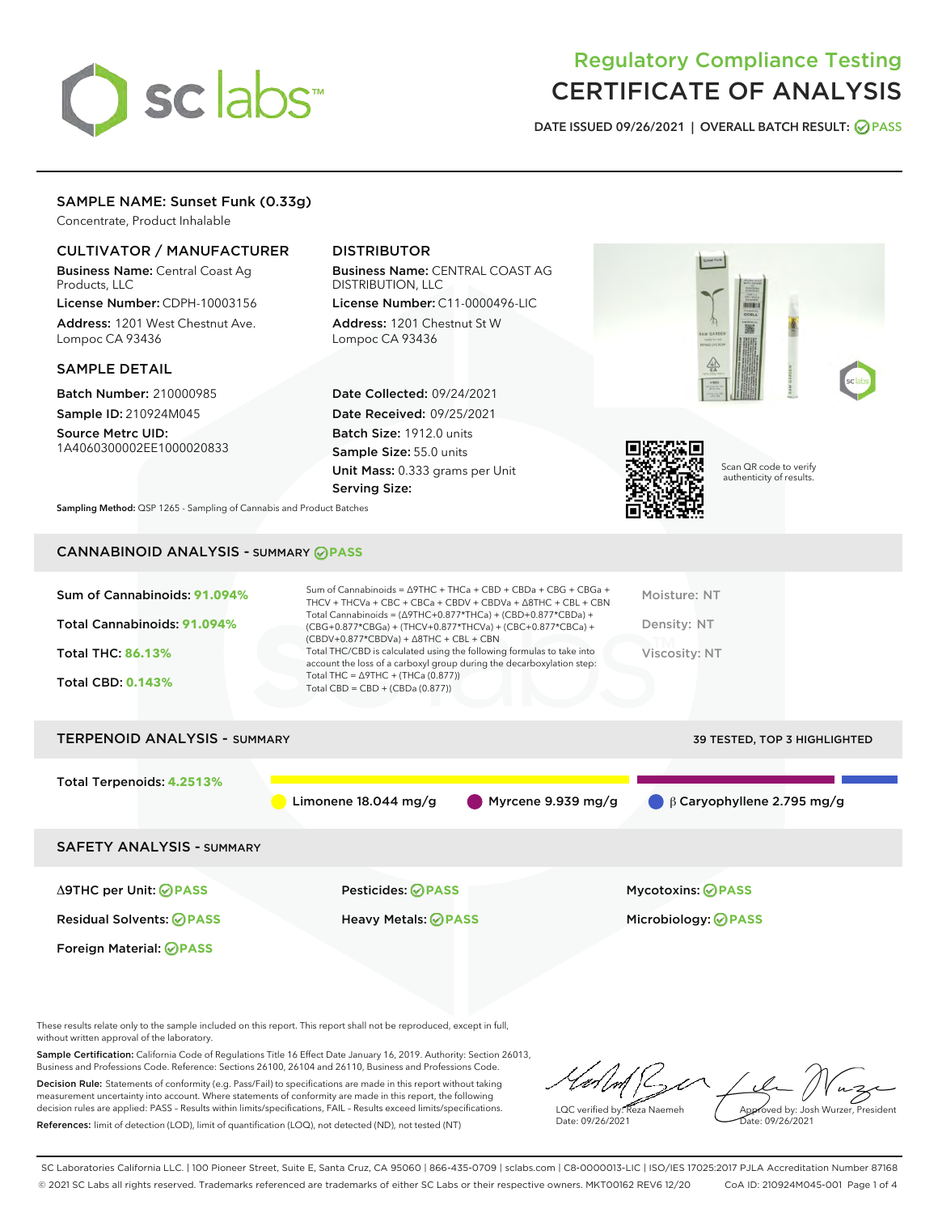# sclabs<sup>\*</sup>

# Regulatory Compliance Testing CERTIFICATE OF ANALYSIS

DATE ISSUED 09/26/2021 | OVERALL BATCH RESULT: @ PASS

# SAMPLE NAME: Sunset Funk (0.33g)

Concentrate, Product Inhalable

## CULTIVATOR / MANUFACTURER

Business Name: Central Coast Ag Products, LLC

License Number: CDPH-10003156 Address: 1201 West Chestnut Ave. Lompoc CA 93436

#### SAMPLE DETAIL

Batch Number: 210000985 Sample ID: 210924M045

Source Metrc UID: 1A4060300002EE1000020833

# DISTRIBUTOR

Business Name: CENTRAL COAST AG DISTRIBUTION, LLC License Number: C11-0000496-LIC

Address: 1201 Chestnut St W Lompoc CA 93436

Date Collected: 09/24/2021 Date Received: 09/25/2021 Batch Size: 1912.0 units Sample Size: 55.0 units Unit Mass: 0.333 grams per Unit Serving Size:





Scan QR code to verify authenticity of results.

Sampling Method: QSP 1265 - Sampling of Cannabis and Product Batches

# CANNABINOID ANALYSIS - SUMMARY **PASS**

| Sum of Cannabinoids: 91.094%<br>Total Cannabinoids: 91.094%<br><b>Total THC: 86.13%</b><br><b>Total CBD: 0.143%</b> | Sum of Cannabinoids = $\triangle$ 9THC + THCa + CBD + CBDa + CBG + CBGa +<br>THCV + THCVa + CBC + CBCa + CBDV + CBDVa + $\Delta$ 8THC + CBL + CBN<br>Total Cannabinoids = $(\Delta$ 9THC+0.877*THCa) + (CBD+0.877*CBDa) +<br>(CBG+0.877*CBGa) + (THCV+0.877*THCVa) + (CBC+0.877*CBCa) +<br>$(CBDV+0.877*CBDVa) + \Delta 8THC + CBL + CBN$<br>Total THC/CBD is calculated using the following formulas to take into<br>account the loss of a carboxyl group during the decarboxylation step:<br>Total THC = $\triangle$ 9THC + (THCa (0.877))<br>Total CBD = CBD + (CBDa (0.877)) | Moisture: NT<br>Density: NT<br>Viscosity: NT |
|---------------------------------------------------------------------------------------------------------------------|----------------------------------------------------------------------------------------------------------------------------------------------------------------------------------------------------------------------------------------------------------------------------------------------------------------------------------------------------------------------------------------------------------------------------------------------------------------------------------------------------------------------------------------------------------------------------------|----------------------------------------------|
| <b>TERPENOID ANALYSIS - SUMMARY</b>                                                                                 |                                                                                                                                                                                                                                                                                                                                                                                                                                                                                                                                                                                  | <b>39 TESTED, TOP 3 HIGHLIGHTED</b>          |
| Total Terpenoids: 4.2513%                                                                                           | $\blacksquare$ Myrcene 9.939 mg/g<br>Limonene $18.044$ mg/g                                                                                                                                                                                                                                                                                                                                                                                                                                                                                                                      | $\bigcirc$ $\beta$ Caryophyllene 2.795 mg/g  |
| <b>SAFETY ANALYSIS - SUMMARY</b>                                                                                    |                                                                                                                                                                                                                                                                                                                                                                                                                                                                                                                                                                                  |                                              |

Δ9THC per Unit: **PASS** Pesticides: **PASS** Mycotoxins: **PASS**

Foreign Material: **PASS**

Residual Solvents: **PASS** Heavy Metals: **PASS** Microbiology: **PASS**

These results relate only to the sample included on this report. This report shall not be reproduced, except in full, without written approval of the laboratory.

Sample Certification: California Code of Regulations Title 16 Effect Date January 16, 2019. Authority: Section 26013, Business and Professions Code. Reference: Sections 26100, 26104 and 26110, Business and Professions Code. Decision Rule: Statements of conformity (e.g. Pass/Fail) to specifications are made in this report without taking

measurement uncertainty into account. Where statements of conformity are made in this report, the following decision rules are applied: PASS – Results within limits/specifications, FAIL – Results exceed limits/specifications. References: limit of detection (LOD), limit of quantification (LOQ), not detected (ND), not tested (NT)

LQC verified by: Reza Naemeh Date: 09/26/2021 Approved by: Josh Wurzer, President ate: 09/26/2021

SC Laboratories California LLC. | 100 Pioneer Street, Suite E, Santa Cruz, CA 95060 | 866-435-0709 | sclabs.com | C8-0000013-LIC | ISO/IES 17025:2017 PJLA Accreditation Number 87168 © 2021 SC Labs all rights reserved. Trademarks referenced are trademarks of either SC Labs or their respective owners. MKT00162 REV6 12/20 CoA ID: 210924M045-001 Page 1 of 4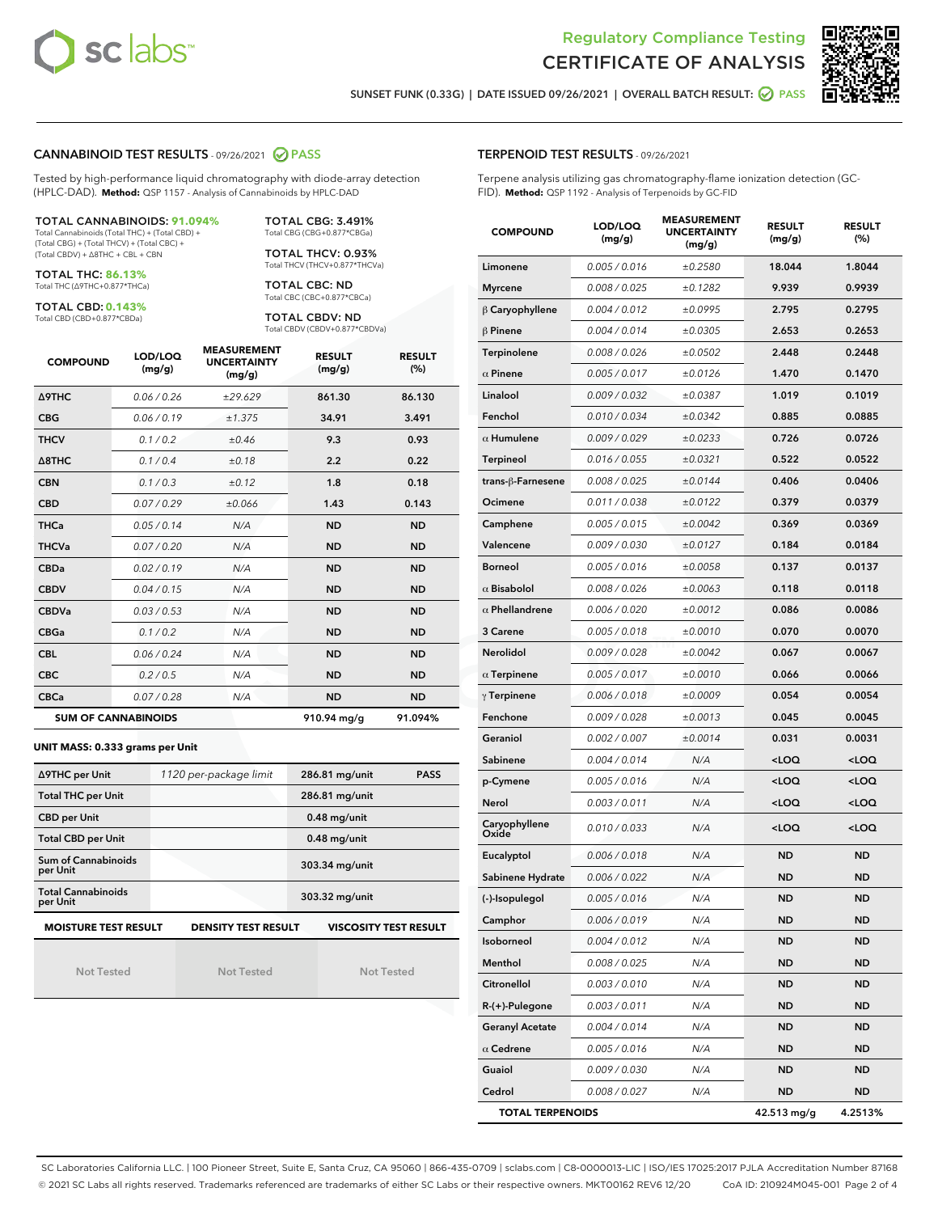



SUNSET FUNK (0.33G) | DATE ISSUED 09/26/2021 | OVERALL BATCH RESULT: 2 PASS

#### CANNABINOID TEST RESULTS - 09/26/2021 2 PASS

Tested by high-performance liquid chromatography with diode-array detection (HPLC-DAD). **Method:** QSP 1157 - Analysis of Cannabinoids by HPLC-DAD

#### TOTAL CANNABINOIDS: **91.094%**

Total Cannabinoids (Total THC) + (Total CBD) + (Total CBG) + (Total THCV) + (Total CBC) + (Total CBDV) + ∆8THC + CBL + CBN

TOTAL THC: **86.13%** Total THC (∆9THC+0.877\*THCa)

TOTAL CBD: **0.143%**

Total CBD (CBD+0.877\*CBDa)

TOTAL CBG: 3.491% Total CBG (CBG+0.877\*CBGa)

TOTAL THCV: 0.93% Total THCV (THCV+0.877\*THCVa)

TOTAL CBC: ND Total CBC (CBC+0.877\*CBCa)

TOTAL CBDV: ND Total CBDV (CBDV+0.877\*CBDVa)

| <b>COMPOUND</b>  | LOD/LOQ<br>(mg/g)          | <b>MEASUREMENT</b><br><b>UNCERTAINTY</b><br>(mg/g) | <b>RESULT</b><br>(mg/g) | <b>RESULT</b><br>(%) |
|------------------|----------------------------|----------------------------------------------------|-------------------------|----------------------|
| Δ9THC            | 0.06 / 0.26                | ±29.629                                            | 861.30                  | 86.130               |
| <b>CBG</b>       | 0.06/0.19                  | ±1.375                                             | 34.91                   | 3.491                |
| <b>THCV</b>      | 0.1 / 0.2                  | ±0.46                                              | 9.3                     | 0.93                 |
| $\triangle$ 8THC | 0.1/0.4                    | ±0.18                                              | 2.2                     | 0.22                 |
| <b>CBN</b>       | 0.1/0.3                    | ±0.12                                              | 1.8                     | 0.18                 |
| <b>CBD</b>       | 0.07/0.29                  | ±0.066                                             | 1.43                    | 0.143                |
| <b>THCa</b>      | 0.05/0.14                  | N/A                                                | <b>ND</b>               | <b>ND</b>            |
| <b>THCVa</b>     | 0.07/0.20                  | N/A                                                | <b>ND</b>               | <b>ND</b>            |
| <b>CBDa</b>      | 0.02/0.19                  | N/A                                                | <b>ND</b>               | <b>ND</b>            |
| <b>CBDV</b>      | 0.04 / 0.15                | N/A                                                | <b>ND</b>               | <b>ND</b>            |
| <b>CBDVa</b>     | 0.03/0.53                  | N/A                                                | <b>ND</b>               | <b>ND</b>            |
| <b>CBGa</b>      | 0.1 / 0.2                  | N/A                                                | <b>ND</b>               | <b>ND</b>            |
| <b>CBL</b>       | 0.06 / 0.24                | N/A                                                | <b>ND</b>               | <b>ND</b>            |
| <b>CBC</b>       | 0.2 / 0.5                  | N/A                                                | <b>ND</b>               | <b>ND</b>            |
| <b>CBCa</b>      | 0.07/0.28                  | N/A                                                | <b>ND</b>               | <b>ND</b>            |
|                  | <b>SUM OF CANNABINOIDS</b> |                                                    | 910.94 mg/g             | 91.094%              |

#### **UNIT MASS: 0.333 grams per Unit**

| ∆9THC per Unit                                                                            | 1120 per-package limit | 286.81 mg/unit<br><b>PASS</b> |  |  |  |
|-------------------------------------------------------------------------------------------|------------------------|-------------------------------|--|--|--|
| <b>Total THC per Unit</b>                                                                 |                        | 286.81 mg/unit                |  |  |  |
| <b>CBD per Unit</b>                                                                       |                        | $0.48$ mg/unit                |  |  |  |
| <b>Total CBD per Unit</b>                                                                 |                        | $0.48$ mg/unit                |  |  |  |
| Sum of Cannabinoids<br>per Unit                                                           |                        | 303.34 mg/unit                |  |  |  |
| <b>Total Cannabinoids</b><br>per Unit                                                     |                        | 303.32 mg/unit                |  |  |  |
| <b>MOISTURE TEST RESULT</b><br><b>DENSITY TEST RESULT</b><br><b>VISCOSITY TEST RESULT</b> |                        |                               |  |  |  |

Not Tested

Not Tested

Not Tested

#### TERPENOID TEST RESULTS - 09/26/2021

Terpene analysis utilizing gas chromatography-flame ionization detection (GC-FID). **Method:** QSP 1192 - Analysis of Terpenoids by GC-FID

| <b>COMPOUND</b>         | LOD/LOQ<br>(mg/g) | <b>MEASUREMENT</b><br><b>UNCERTAINTY</b><br>(mg/g) | <b>RESULT</b><br>(mg/g)                         | <b>RESULT</b><br>(%) |
|-------------------------|-------------------|----------------------------------------------------|-------------------------------------------------|----------------------|
| Limonene                | 0.005 / 0.016     | ±0.2580                                            | 18.044                                          | 1.8044               |
| <b>Myrcene</b>          | 0.008 / 0.025     | ±0.1282                                            | 9.939                                           | 0.9939               |
| $\beta$ Caryophyllene   | 0.004 / 0.012     | ±0.0995                                            | 2.795                                           | 0.2795               |
| $\beta$ Pinene          | 0.004 / 0.014     | ±0.0305                                            | 2.653                                           | 0.2653               |
| Terpinolene             | 0.008 / 0.026     | ±0.0502                                            | 2.448                                           | 0.2448               |
| $\alpha$ Pinene         | 0.005 / 0.017     | ±0.0126                                            | 1.470                                           | 0.1470               |
| Linalool                | 0.009 / 0.032     | ±0.0387                                            | 1.019                                           | 0.1019               |
| Fenchol                 | 0.010 / 0.034     | ±0.0342                                            | 0.885                                           | 0.0885               |
| $\alpha$ Humulene       | 0.009 / 0.029     | ±0.0233                                            | 0.726                                           | 0.0726               |
| <b>Terpineol</b>        | 0.016 / 0.055     | ±0.0321                                            | 0.522                                           | 0.0522               |
| trans-ß-Farnesene       | 0.008 / 0.025     | ±0.0144                                            | 0.406                                           | 0.0406               |
| Ocimene                 | 0.011 / 0.038     | ±0.0122                                            | 0.379                                           | 0.0379               |
| Camphene                | 0.005 / 0.015     | ±0.0042                                            | 0.369                                           | 0.0369               |
| Valencene               | 0.009 / 0.030     | ±0.0127                                            | 0.184                                           | 0.0184               |
| <b>Borneol</b>          | 0.005 / 0.016     | ±0.0058                                            | 0.137                                           | 0.0137               |
| $\alpha$ Bisabolol      | 0.008 / 0.026     | ±0.0063                                            | 0.118                                           | 0.0118               |
| $\alpha$ Phellandrene   | 0.006 / 0.020     | ±0.0012                                            | 0.086                                           | 0.0086               |
| 3 Carene                | 0.005 / 0.018     | ±0.0010                                            | 0.070                                           | 0.0070               |
| Nerolidol               | 0.009 / 0.028     | ±0.0042                                            | 0.067                                           | 0.0067               |
| $\alpha$ Terpinene      | 0.005 / 0.017     | ±0.0010                                            | 0.066                                           | 0.0066               |
| $\gamma$ Terpinene      | 0.006 / 0.018     | ±0.0009                                            | 0.054                                           | 0.0054               |
| Fenchone                | 0.009 / 0.028     | ±0.0013                                            | 0.045                                           | 0.0045               |
| Geraniol                | 0.002 / 0.007     | ±0.0014                                            | 0.031                                           | 0.0031               |
| Sabinene                | 0.004 / 0.014     | N/A                                                | <loq< th=""><th><loq< th=""></loq<></th></loq<> | <loq< th=""></loq<>  |
| p-Cymene                | 0.005 / 0.016     | N/A                                                | <loq< th=""><th><loq< th=""></loq<></th></loq<> | <loq< th=""></loq<>  |
| Nerol                   | 0.003 / 0.011     | N/A                                                | <loq< th=""><th><loq< th=""></loq<></th></loq<> | <loq< th=""></loq<>  |
| Caryophyllene<br>Oxide  | 0.010 / 0.033     | N/A                                                | 100                                             | <loq< th=""></loq<>  |
| Eucalyptol              | 0.006 / 0.018     | N/A                                                | ND                                              | <b>ND</b>            |
| Sabinene Hydrate        | 0.006 / 0.022     | N/A                                                | ND                                              | ND                   |
| (-)-Isopulegol          | 0.005 / 0.016     | N/A                                                | <b>ND</b>                                       | <b>ND</b>            |
| Camphor                 | 0.006 / 0.019     | N/A                                                | ND                                              | ND                   |
| Isoborneol              | 0.004 / 0.012     | N/A                                                | <b>ND</b>                                       | ND                   |
| Menthol                 | 0.008 / 0.025     | N/A                                                | ND                                              | ND                   |
| Citronellol             | 0.003 / 0.010     | N/A                                                | ND                                              | ND                   |
| R-(+)-Pulegone          | 0.003 / 0.011     | N/A                                                | ND                                              | ND                   |
| <b>Geranyl Acetate</b>  | 0.004 / 0.014     | N/A                                                | ND                                              | ND                   |
| $\alpha$ Cedrene        | 0.005 / 0.016     | N/A                                                | ND                                              | ND                   |
| Guaiol                  | 0.009 / 0.030     | N/A                                                | ND                                              | ND                   |
| Cedrol                  | 0.008 / 0.027     | N/A                                                | ND                                              | ND                   |
| <b>TOTAL TERPENOIDS</b> |                   |                                                    | 42.513 mg/g                                     | 4.2513%              |

SC Laboratories California LLC. | 100 Pioneer Street, Suite E, Santa Cruz, CA 95060 | 866-435-0709 | sclabs.com | C8-0000013-LIC | ISO/IES 17025:2017 PJLA Accreditation Number 87168 © 2021 SC Labs all rights reserved. Trademarks referenced are trademarks of either SC Labs or their respective owners. MKT00162 REV6 12/20 CoA ID: 210924M045-001 Page 2 of 4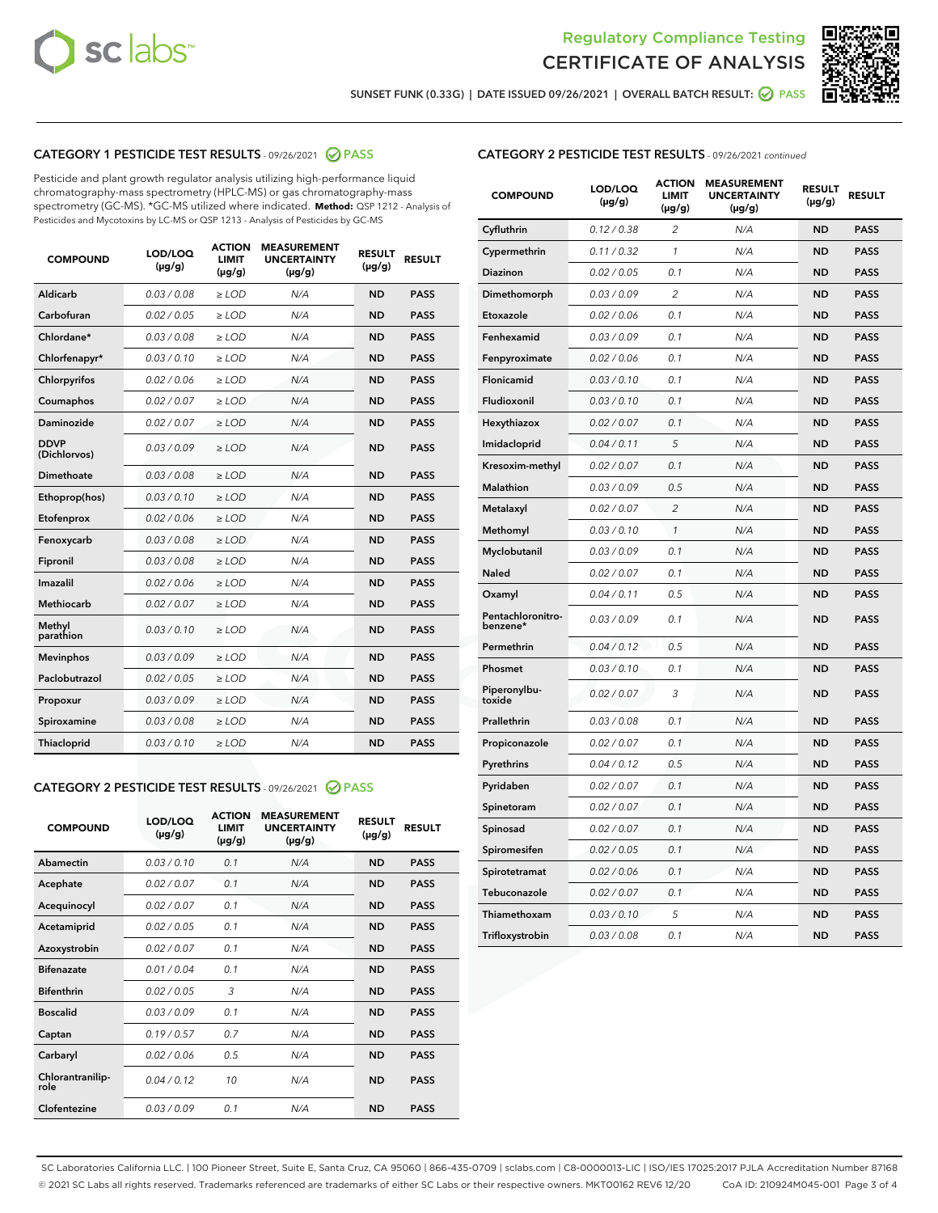



SUNSET FUNK (0.33G) | DATE ISSUED 09/26/2021 | OVERALL BATCH RESULT:  $\bigcirc$  PASS

### CATEGORY 1 PESTICIDE TEST RESULTS - 09/26/2021 2 PASS

Pesticide and plant growth regulator analysis utilizing high-performance liquid chromatography-mass spectrometry (HPLC-MS) or gas chromatography-mass spectrometry (GC-MS). \*GC-MS utilized where indicated. **Method:** QSP 1212 - Analysis of Pesticides and Mycotoxins by LC-MS or QSP 1213 - Analysis of Pesticides by GC-MS

| <b>COMPOUND</b>             | LOD/LOQ<br>$(\mu g/g)$ | <b>ACTION</b><br><b>LIMIT</b><br>$(\mu g/g)$ | <b>MEASUREMENT</b><br><b>UNCERTAINTY</b><br>$(\mu g/g)$ | <b>RESULT</b><br>$(\mu g/g)$ | <b>RESULT</b> |
|-----------------------------|------------------------|----------------------------------------------|---------------------------------------------------------|------------------------------|---------------|
| Aldicarb                    | 0.03/0.08              | $>$ LOD                                      | N/A                                                     | <b>ND</b>                    | <b>PASS</b>   |
| Carbofuran                  | 0.02 / 0.05            | $\ge$ LOD                                    | N/A                                                     | <b>ND</b>                    | <b>PASS</b>   |
| Chlordane*                  | 0.03 / 0.08            | $\ge$ LOD                                    | N/A                                                     | <b>ND</b>                    | <b>PASS</b>   |
| Chlorfenapyr*               | 0.03/0.10              | $\ge$ LOD                                    | N/A                                                     | <b>ND</b>                    | <b>PASS</b>   |
| Chlorpyrifos                | 0.02 / 0.06            | $\ge$ LOD                                    | N/A                                                     | <b>ND</b>                    | <b>PASS</b>   |
| Coumaphos                   | 0.02 / 0.07            | $\ge$ LOD                                    | N/A                                                     | <b>ND</b>                    | <b>PASS</b>   |
| Daminozide                  | 0.02/0.07              | $>$ LOD                                      | N/A                                                     | <b>ND</b>                    | <b>PASS</b>   |
| <b>DDVP</b><br>(Dichlorvos) | 0.03/0.09              | $\ge$ LOD                                    | N/A                                                     | <b>ND</b>                    | <b>PASS</b>   |
| <b>Dimethoate</b>           | 0.03/0.08              | $\ge$ LOD                                    | N/A                                                     | <b>ND</b>                    | <b>PASS</b>   |
| Ethoprop(hos)               | 0.03/0.10              | $\ge$ LOD                                    | N/A                                                     | <b>ND</b>                    | <b>PASS</b>   |
| Etofenprox                  | 0.02 / 0.06            | $\ge$ LOD                                    | N/A                                                     | <b>ND</b>                    | <b>PASS</b>   |
| Fenoxycarb                  | 0.03/0.08              | $\ge$ LOD                                    | N/A                                                     | <b>ND</b>                    | <b>PASS</b>   |
| Fipronil                    | 0.03/0.08              | $\ge$ LOD                                    | N/A                                                     | <b>ND</b>                    | <b>PASS</b>   |
| Imazalil                    | 0.02 / 0.06            | $>$ LOD                                      | N/A                                                     | <b>ND</b>                    | <b>PASS</b>   |
| Methiocarb                  | 0.02 / 0.07            | $>$ LOD                                      | N/A                                                     | <b>ND</b>                    | <b>PASS</b>   |
| Methyl<br>parathion         | 0.03/0.10              | $>$ LOD                                      | N/A                                                     | <b>ND</b>                    | <b>PASS</b>   |
| <b>Mevinphos</b>            | 0.03/0.09              | $\ge$ LOD                                    | N/A                                                     | <b>ND</b>                    | <b>PASS</b>   |
| Paclobutrazol               | 0.02 / 0.05            | $>$ LOD                                      | N/A                                                     | <b>ND</b>                    | <b>PASS</b>   |
| Propoxur                    | 0.03/0.09              | $\ge$ LOD                                    | N/A                                                     | <b>ND</b>                    | <b>PASS</b>   |
| Spiroxamine                 | 0.03 / 0.08            | $\ge$ LOD                                    | N/A                                                     | <b>ND</b>                    | <b>PASS</b>   |
| Thiacloprid                 | 0.03/0.10              | $\ge$ LOD                                    | N/A                                                     | <b>ND</b>                    | <b>PASS</b>   |

#### CATEGORY 2 PESTICIDE TEST RESULTS - 09/26/2021 @ PASS

| <b>COMPOUND</b>          | LOD/LOO<br>$(\mu g/g)$ | <b>ACTION</b><br>LIMIT<br>$(\mu g/g)$ | <b>MEASUREMENT</b><br><b>UNCERTAINTY</b><br>$(\mu g/g)$ | <b>RESULT</b><br>$(\mu g/g)$ | <b>RESULT</b> |  |
|--------------------------|------------------------|---------------------------------------|---------------------------------------------------------|------------------------------|---------------|--|
| Abamectin                | 0.03/0.10              | 0.1                                   | N/A                                                     | <b>ND</b>                    | <b>PASS</b>   |  |
| Acephate                 | 0.02/0.07              | 0.1                                   | N/A                                                     | <b>ND</b>                    | <b>PASS</b>   |  |
| Acequinocyl              | 0.02/0.07              | 0.1                                   | N/A                                                     | <b>ND</b>                    | <b>PASS</b>   |  |
| Acetamiprid              | 0.02 / 0.05            | 0.1                                   | N/A                                                     | <b>ND</b>                    | <b>PASS</b>   |  |
| Azoxystrobin             | 0.02/0.07              | 0.1                                   | N/A                                                     | <b>ND</b>                    | <b>PASS</b>   |  |
| <b>Bifenazate</b>        | 0.01 / 0.04            | 0.1                                   | N/A                                                     | <b>ND</b>                    | <b>PASS</b>   |  |
| <b>Bifenthrin</b>        | 0.02 / 0.05            | 3                                     | N/A                                                     | <b>ND</b>                    | <b>PASS</b>   |  |
| <b>Boscalid</b>          | 0.03/0.09              | 0.1                                   | N/A                                                     | <b>ND</b>                    | <b>PASS</b>   |  |
| Captan                   | 0.19/0.57              | 0.7                                   | N/A                                                     | <b>ND</b>                    | <b>PASS</b>   |  |
| Carbaryl                 | 0.02/0.06              | 0.5                                   | N/A                                                     | <b>ND</b>                    | <b>PASS</b>   |  |
| Chlorantranilip-<br>role | 0.04/0.12              | 10                                    | N/A                                                     | <b>ND</b>                    | <b>PASS</b>   |  |
| Clofentezine             | 0.03/0.09              | 0.1                                   | N/A                                                     | <b>ND</b>                    | <b>PASS</b>   |  |

| <b>CATEGORY 2 PESTICIDE TEST RESULTS</b> - 09/26/2021 continued |  |  |
|-----------------------------------------------------------------|--|--|
|                                                                 |  |  |

| <b>COMPOUND</b>               | LOD/LOQ<br>(µg/g) | <b>ACTION</b><br>LIMIT<br>(µg/g) | <b>MEASUREMENT</b><br><b>UNCERTAINTY</b><br>(µg/g) | <b>RESULT</b><br>(µg/g) | <b>RESULT</b> |
|-------------------------------|-------------------|----------------------------------|----------------------------------------------------|-------------------------|---------------|
| Cyfluthrin                    | 0.12 / 0.38       | $\overline{c}$                   | N/A                                                | <b>ND</b>               | <b>PASS</b>   |
| Cypermethrin                  | 0.11/0.32         | 1                                | N/A                                                | <b>ND</b>               | <b>PASS</b>   |
| Diazinon                      | 0.02 / 0.05       | 0.1                              | N/A                                                | <b>ND</b>               | <b>PASS</b>   |
| Dimethomorph                  | 0.03 / 0.09       | 2                                | N/A                                                | <b>ND</b>               | <b>PASS</b>   |
| Etoxazole                     | 0.02 / 0.06       | 0.1                              | N/A                                                | <b>ND</b>               | <b>PASS</b>   |
| Fenhexamid                    | 0.03 / 0.09       | 0.1                              | N/A                                                | <b>ND</b>               | <b>PASS</b>   |
| Fenpyroximate                 | 0.02 / 0.06       | 0.1                              | N/A                                                | <b>ND</b>               | <b>PASS</b>   |
| Flonicamid                    | 0.03 / 0.10       | 0.1                              | N/A                                                | <b>ND</b>               | <b>PASS</b>   |
| Fludioxonil                   | 0.03 / 0.10       | 0.1                              | N/A                                                | <b>ND</b>               | <b>PASS</b>   |
| Hexythiazox                   | 0.02 / 0.07       | 0.1                              | N/A                                                | <b>ND</b>               | <b>PASS</b>   |
| Imidacloprid                  | 0.04 / 0.11       | 5                                | N/A                                                | <b>ND</b>               | <b>PASS</b>   |
| Kresoxim-methyl               | 0.02 / 0.07       | 0.1                              | N/A                                                | <b>ND</b>               | <b>PASS</b>   |
| Malathion                     | 0.03 / 0.09       | 0.5                              | N/A                                                | <b>ND</b>               | <b>PASS</b>   |
| Metalaxyl                     | 0.02 / 0.07       | 2                                | N/A                                                | <b>ND</b>               | <b>PASS</b>   |
| Methomyl                      | 0.03 / 0.10       | $\mathcal{I}$                    | N/A                                                | <b>ND</b>               | <b>PASS</b>   |
| Myclobutanil                  | 0.03 / 0.09       | 0.1                              | N/A                                                | <b>ND</b>               | <b>PASS</b>   |
| Naled                         | 0.02 / 0.07       | 0.1                              | N/A                                                | <b>ND</b>               | <b>PASS</b>   |
| Oxamyl                        | 0.04 / 0.11       | 0.5                              | N/A                                                | <b>ND</b>               | <b>PASS</b>   |
| Pentachloronitro-<br>benzene* | 0.03 / 0.09       | 0.1                              | N/A                                                | <b>ND</b>               | <b>PASS</b>   |
| Permethrin                    | 0.04 / 0.12       | 0.5                              | N/A                                                | <b>ND</b>               | <b>PASS</b>   |
| Phosmet                       | 0.03 / 0.10       | 0.1                              | N/A                                                | <b>ND</b>               | <b>PASS</b>   |
| Piperonylbu-<br>toxide        | 0.02 / 0.07       | 3                                | N/A                                                | <b>ND</b>               | <b>PASS</b>   |
| Prallethrin                   | 0.03 / 0.08       | 0.1                              | N/A                                                | <b>ND</b>               | <b>PASS</b>   |
| Propiconazole                 | 0.02 / 0.07       | 0.1                              | N/A                                                | <b>ND</b>               | <b>PASS</b>   |
| Pyrethrins                    | 0.04 / 0.12       | 0.5                              | N/A                                                | <b>ND</b>               | <b>PASS</b>   |
| Pyridaben                     | 0.02 / 0.07       | 0.1                              | N/A                                                | <b>ND</b>               | <b>PASS</b>   |
| Spinetoram                    | 0.02 / 0.07       | 0.1                              | N/A                                                | <b>ND</b>               | <b>PASS</b>   |
| Spinosad                      | 0.02 / 0.07       | 0.1                              | N/A                                                | <b>ND</b>               | <b>PASS</b>   |
| Spiromesifen                  | 0.02 / 0.05       | 0.1                              | N/A                                                | <b>ND</b>               | <b>PASS</b>   |
| Spirotetramat                 | 0.02 / 0.06       | 0.1                              | N/A                                                | ND                      | <b>PASS</b>   |
| Tebuconazole                  | 0.02 / 0.07       | 0.1                              | N/A                                                | <b>ND</b>               | <b>PASS</b>   |
| Thiamethoxam                  | 0.03 / 0.10       | 5                                | N/A                                                | <b>ND</b>               | <b>PASS</b>   |
| Trifloxystrobin               | 0.03 / 0.08       | 0.1                              | N/A                                                | <b>ND</b>               | <b>PASS</b>   |

SC Laboratories California LLC. | 100 Pioneer Street, Suite E, Santa Cruz, CA 95060 | 866-435-0709 | sclabs.com | C8-0000013-LIC | ISO/IES 17025:2017 PJLA Accreditation Number 87168 © 2021 SC Labs all rights reserved. Trademarks referenced are trademarks of either SC Labs or their respective owners. MKT00162 REV6 12/20 CoA ID: 210924M045-001 Page 3 of 4